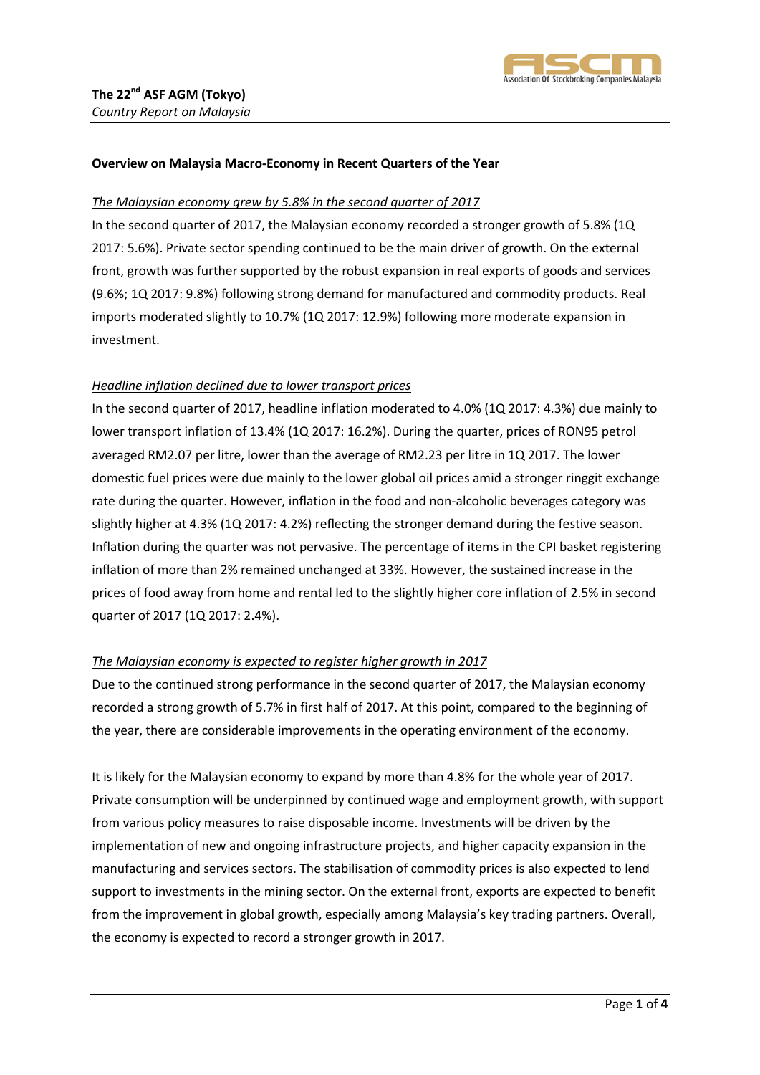

#### **Overview on Malaysia Macro-Economy in Recent Quarters of the Year**

#### *The Malaysian economy grew by 5.8% in the second quarter of 2017*

In the second quarter of 2017, the Malaysian economy recorded a stronger growth of 5.8% (1Q 2017: 5.6%). Private sector spending continued to be the main driver of growth. On the external front, growth was further supported by the robust expansion in real exports of goods and services (9.6%; 1Q 2017: 9.8%) following strong demand for manufactured and commodity products. Real imports moderated slightly to 10.7% (1Q 2017: 12.9%) following more moderate expansion in investment.

#### *Headline inflation declined due to lower transport prices*

In the second quarter of 2017, headline inflation moderated to 4.0% (1Q 2017: 4.3%) due mainly to lower transport inflation of 13.4% (1Q 2017: 16.2%). During the quarter, prices of RON95 petrol averaged RM2.07 per litre, lower than the average of RM2.23 per litre in 1Q 2017. The lower domestic fuel prices were due mainly to the lower global oil prices amid a stronger ringgit exchange rate during the quarter. However, inflation in the food and non-alcoholic beverages category was slightly higher at 4.3% (1Q 2017: 4.2%) reflecting the stronger demand during the festive season. Inflation during the quarter was not pervasive. The percentage of items in the CPI basket registering inflation of more than 2% remained unchanged at 33%. However, the sustained increase in the prices of food away from home and rental led to the slightly higher core inflation of 2.5% in second quarter of 2017 (1Q 2017: 2.4%).

## *The Malaysian economy is expected to register higher growth in 2017*

Due to the continued strong performance in the second quarter of 2017, the Malaysian economy recorded a strong growth of 5.7% in first half of 2017. At this point, compared to the beginning of the year, there are considerable improvements in the operating environment of the economy.

It is likely for the Malaysian economy to expand by more than 4.8% for the whole year of 2017. Private consumption will be underpinned by continued wage and employment growth, with support from various policy measures to raise disposable income. Investments will be driven by the implementation of new and ongoing infrastructure projects, and higher capacity expansion in the manufacturing and services sectors. The stabilisation of commodity prices is also expected to lend support to investments in the mining sector. On the external front, exports are expected to benefit from the improvement in global growth, especially among Malaysia's key trading partners. Overall, the economy is expected to record a stronger growth in 2017.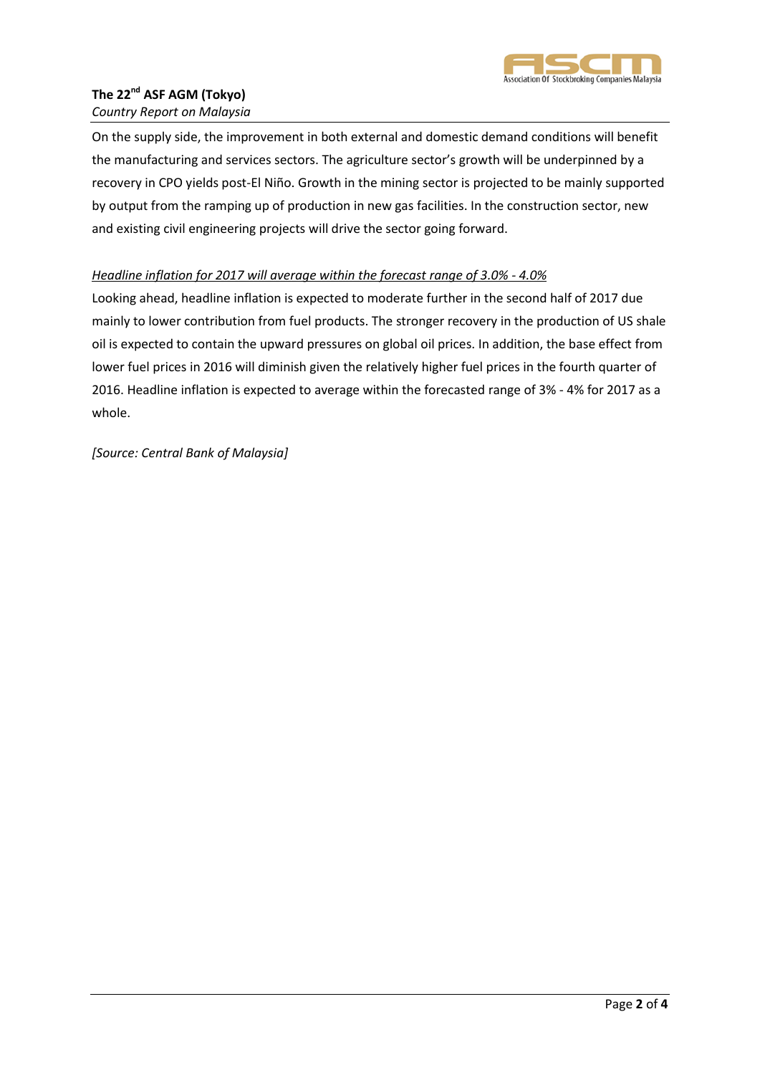

# **The 22nd ASF AGM (Tokyo)**

## *Country Report on Malaysia*

On the supply side, the improvement in both external and domestic demand conditions will benefit the manufacturing and services sectors. The agriculture sector's growth will be underpinned by a recovery in CPO yields post-El Niño. Growth in the mining sector is projected to be mainly supported by output from the ramping up of production in new gas facilities. In the construction sector, new and existing civil engineering projects will drive the sector going forward.

## *Headline inflation for 2017 will average within the forecast range of 3.0% - 4.0%*

Looking ahead, headline inflation is expected to moderate further in the second half of 2017 due mainly to lower contribution from fuel products. The stronger recovery in the production of US shale oil is expected to contain the upward pressures on global oil prices. In addition, the base effect from lower fuel prices in 2016 will diminish given the relatively higher fuel prices in the fourth quarter of 2016. Headline inflation is expected to average within the forecasted range of 3% - 4% for 2017 as a whole.

*[Source: Central Bank of Malaysia]*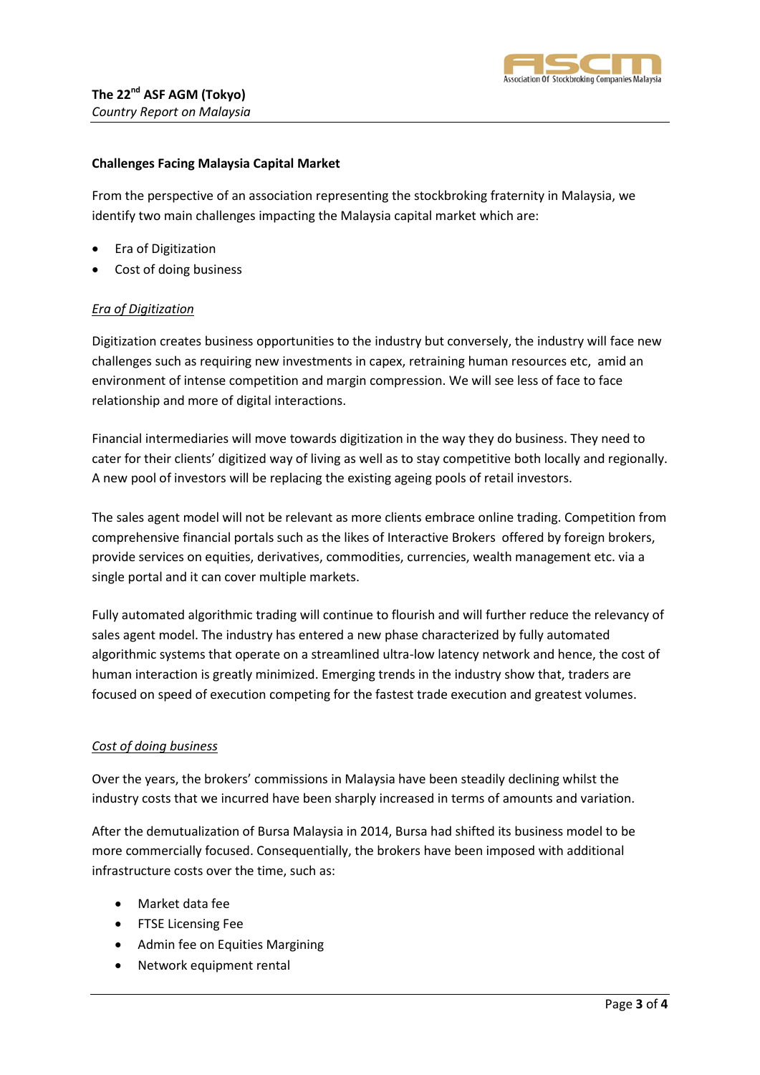

## **Challenges Facing Malaysia Capital Market**

From the perspective of an association representing the stockbroking fraternity in Malaysia, we identify two main challenges impacting the Malaysia capital market which are:

- Era of Digitization
- Cost of doing business

## *Era of Digitization*

Digitization creates business opportunities to the industry but conversely, the industry will face new challenges such as requiring new investments in capex, retraining human resources etc, amid an environment of intense competition and margin compression. We will see less of face to face relationship and more of digital interactions.

Financial intermediaries will move towards digitization in the way they do business. They need to cater for their clients' digitized way of living as well as to stay competitive both locally and regionally. A new pool of investors will be replacing the existing ageing pools of retail investors.

The sales agent model will not be relevant as more clients embrace online trading. Competition from comprehensive financial portals such as the likes of Interactive Brokers offered by foreign brokers, provide services on equities, derivatives, commodities, currencies, wealth management etc. via a single portal and it can cover multiple markets.

Fully automated algorithmic trading will continue to flourish and will further reduce the relevancy of sales agent model. The industry has entered a new phase characterized by fully automated algorithmic systems that operate on a streamlined ultra-low latency network and hence, the cost of human interaction is greatly minimized. Emerging trends in the industry show that, traders are focused on speed of execution competing for the fastest trade execution and greatest volumes.

## *Cost of doing business*

Over the years, the brokers' commissions in Malaysia have been steadily declining whilst the industry costs that we incurred have been sharply increased in terms of amounts and variation.

After the demutualization of Bursa Malaysia in 2014, Bursa had shifted its business model to be more commercially focused. Consequentially, the brokers have been imposed with additional infrastructure costs over the time, such as:

- Market data fee
- **•** FTSE Licensing Fee
- Admin fee on Equities Margining
- Network equipment rental